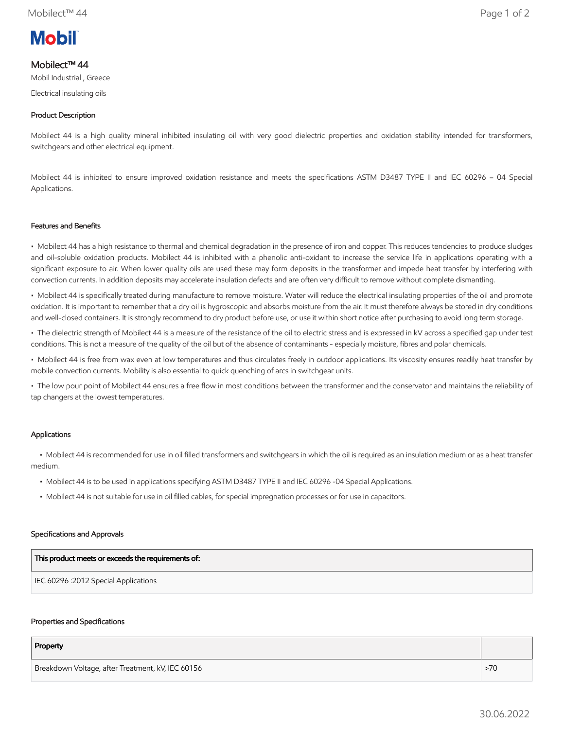# **Mobil**

# Mobilect™ 44

Mobil Industrial , Greece

Electrical insulating oils

# Product Description

Mobilect 44 is a high quality mineral inhibited insulating oil with very good dielectric properties and oxidation stability intended for transformers, switchgears and other electrical equipment.

Mobilect 44 is inhibited to ensure improved oxidation resistance and meets the specifications ASTM D3487 TYPE II and IEC 60296 – 04 Special Applications.

## Features and Benefits

• Mobilect 44 has a high resistance to thermal and chemical degradation in the presence of iron and copper. This reduces tendencies to produce sludges and oil-soluble oxidation products. Mobilect 44 is inhibited with a phenolic anti-oxidant to increase the service life in applications operating with a significant exposure to air. When lower quality oils are used these may form deposits in the transformer and impede heat transfer by interfering with convection currents. In addition deposits may accelerate insulation defects and are often very difficult to remove without complete dismantling.

• Mobilect 44 is specifically treated during manufacture to remove moisture. Water will reduce the electrical insulating properties of the oil and promote oxidation. It is important to remember that a dry oil is hygroscopic and absorbs moisture from the air. It must therefore always be stored in dry conditions and well-closed containers. It is strongly recommend to dry product before use, or use it within short notice after purchasing to avoid long term storage.

• The dielectric strength of Mobilect 44 is a measure of the resistance of the oil to electric stress and is expressed in kV across a specified gap under test conditions. This is not a measure of the quality of the oil but of the absence of contaminants - especially moisture, fibres and polar chemicals.

• Mobilect 44 is free from wax even at low temperatures and thus circulates freely in outdoor applications. Its viscosity ensures readily heat transfer by mobile convection currents. Mobility is also essential to quick quenching of arcs in switchgear units.

• The low pour point of Mobilect 44 ensures a free flow in most conditions between the transformer and the conservator and maintains the reliability of tap changers at the lowest temperatures.

## Applications

 • Mobilect 44 is recommended for use in oil filled transformers and switchgears in which the oil is required as an insulation medium or as a heat transfer medium.

- Mobilect 44 is to be used in applications specifying ASTM D3487 TYPE II and IEC 60296 -04 Special Applications.
- Mobilect 44 is not suitable for use in oil filled cables, for special impregnation processes or for use in capacitors.

### Specifications and Approvals

| This product meets or exceeds the requirements of: |
|----------------------------------------------------|
| IEC 60296 : 2012 Special Applications              |

### Properties and Specifications

| Property                                          |     |
|---------------------------------------------------|-----|
| Breakdown Voltage, after Treatment, kV, IEC 60156 | >70 |